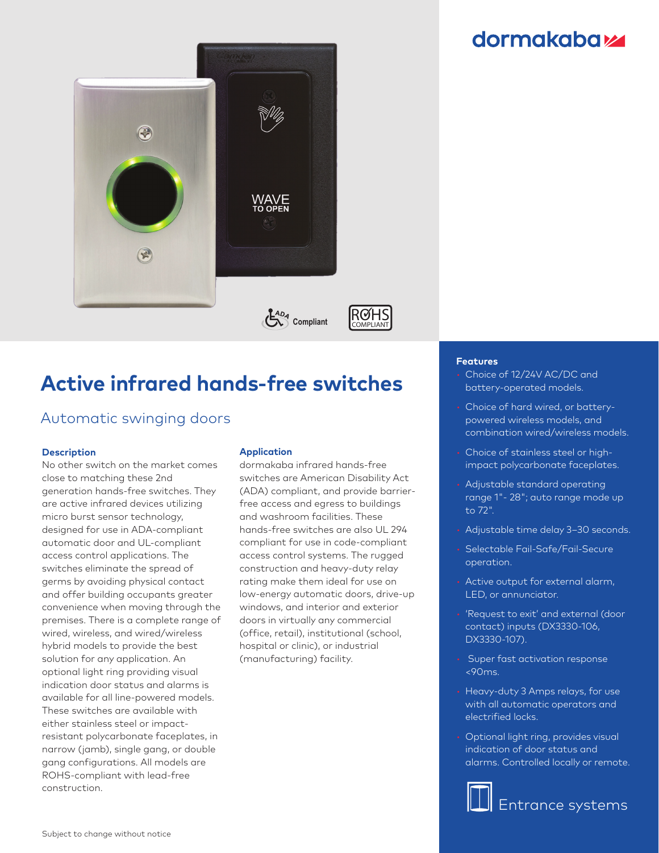# **dormakabazz**



# **Active infrared hands-free switches**

### Automatic swinging doors

#### **Description**

No other switch on the market comes close to matching these 2nd generation hands-free switches. They are active infrared devices utilizing micro burst sensor technology, designed for use in ADA-compliant automatic door and UL-compliant access control applications. The switches eliminate the spread of germs by avoiding physical contact and offer building occupants greater convenience when moving through the premises. There is a complete range of wired, wireless, and wired/wireless hybrid models to provide the best solution for any application. An optional light ring providing visual indication door status and alarms is available for all line-powered models. These switches are available with either stainless steel or impactresistant polycarbonate faceplates, in narrow (jamb), single gang, or double gang configurations. All models are ROHS-compliant with lead-free construction.

### **Application**

dormakaba infrared hands-free switches are American Disability Act (ADA) compliant, and provide barrierfree access and egress to buildings and washroom facilities. These hands-free switches are also UL 294 compliant for use in code-compliant access control systems. The rugged construction and heavy-duty relay rating make them ideal for use on low-energy automatic doors, drive-up windows, and interior and exterior doors in virtually any commercial (office, retail), institutional (school, hospital or clinic), or industrial (manufacturing) facility.

#### **Features**

- Choice of 12/24V AC/DC and battery-operated models.
- Choice of hard wired, or batterypowered wireless models, and combination wired/wireless models.
- Choice of stainless steel or highimpact polycarbonate faceplates.
- Adjustable standard operating range 1"- 28"; auto range mode up to 72".
- Adjustable time delay 3–30 seconds.
- Selectable Fail-Safe/Fail-Secure operation.
- Active output for external alarm, LED, or annunciator.
- 'Request to exit' and external (door contact) inputs (DX3330-106, DX3330-107).
- Super fast activation response <90ms.
- Heavy-duty 3 Amps relays, for use with all automatic operators and electrified locks.
- Optional light ring, provides visual indication of door status and alarms. Controlled locally or remote.

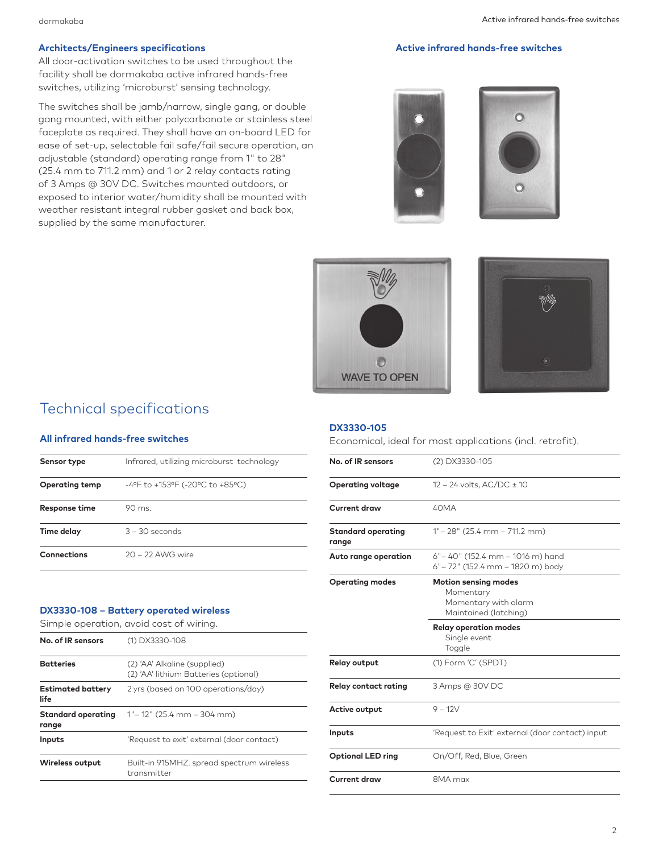#### Architects/Engineers specifications **Active infrared hands-free switches** Active infrared hands-free switches

All door-activation switches to be used throughout the facility shall be dormakaba active infrared hands-free switches, utilizing 'microburst' sensing technology.

The switches shall be jamb/narrow, single gang, or double gang mounted, with either polycarbonate or stainless steel faceplate as required. They shall have an on-board LED for ease of set-up, selectable fail safe/fail secure operation, an adjustable (standard) operating range from 1" to 28" (25.4 mm to 711.2 mm) and 1 or 2 relay contacts rating of 3 Amps @ 30V DC. Switches mounted outdoors, or exposed to interior water/humidity shall be mounted with weather resistant integral rubber gasket and back box, supplied by the same manufacturer.









### Technical specifications

#### **All infrared hands-free switches**

| Sensor type           | Infrared, utilizing microburst technology |  |
|-----------------------|-------------------------------------------|--|
| <b>Operating temp</b> | -4°F to +153°F (-20°C to +85°C)           |  |
| Response time         | $90 \text{ ms}$                           |  |
| Time delay            | $3 - 30$ seconds                          |  |
| <b>Connections</b>    | 20 - 22 AWG wire                          |  |

#### **DX3330-108 – Battery operated wireless**

Simple operation, avoid cost of wiring.

| No. of IR sensors                | (1) DX3330-108                                                        |  |
|----------------------------------|-----------------------------------------------------------------------|--|
| <b>Batteries</b>                 | (2) 'AA' Alkaline (supplied)<br>(2) 'AA' lithium Batteries (optional) |  |
| <b>Estimated battery</b><br>life | 2 yrs (based on 100 operations/day)                                   |  |
| Standard operating<br>range      | $1"$ – 12" (25.4 mm – 304 mm)                                         |  |
| Inputs                           | 'Request to exit' external (door contact)                             |  |
| Wireless output                  | Built-in 915MHZ, spread spectrum wireless<br>transmitter              |  |

#### **DX3330-105**

Economical, ideal for most applications (incl. retrofit).

| No. of IR sensors                  | (2) DX3330-105                                                                            |  |  |
|------------------------------------|-------------------------------------------------------------------------------------------|--|--|
| <b>Operating voltage</b>           | $12 - 24$ volts, AC/DC $\pm$ 10                                                           |  |  |
| Current draw                       | 40MA                                                                                      |  |  |
| <b>Standard operating</b><br>range | $1^{\circ}$ – 28" (25.4 mm – 711.2 mm)                                                    |  |  |
| Auto range operation               | $6" - 40"$ (152.4 mm – 1016 m) hand<br>6" – 72" (152.4 mm – 1820 m) body                  |  |  |
| <b>Operating modes</b>             | <b>Motion sensing modes</b><br>Momentary<br>Momentary with alarm<br>Maintained (latching) |  |  |
|                                    | <b>Relay operation modes</b><br>Single event<br>Toggle                                    |  |  |
| <b>Relay output</b>                | (1) Form 'C' (SPDT)                                                                       |  |  |
| <b>Relay contact rating</b>        | 3 Amps @ 30V DC                                                                           |  |  |
| Active output                      | $9 - 12V$                                                                                 |  |  |
| Inputs                             | 'Request to Exit' external (door contact) input                                           |  |  |
| <b>Optional LED ring</b>           | On/Off, Red, Blue, Green                                                                  |  |  |
|                                    |                                                                                           |  |  |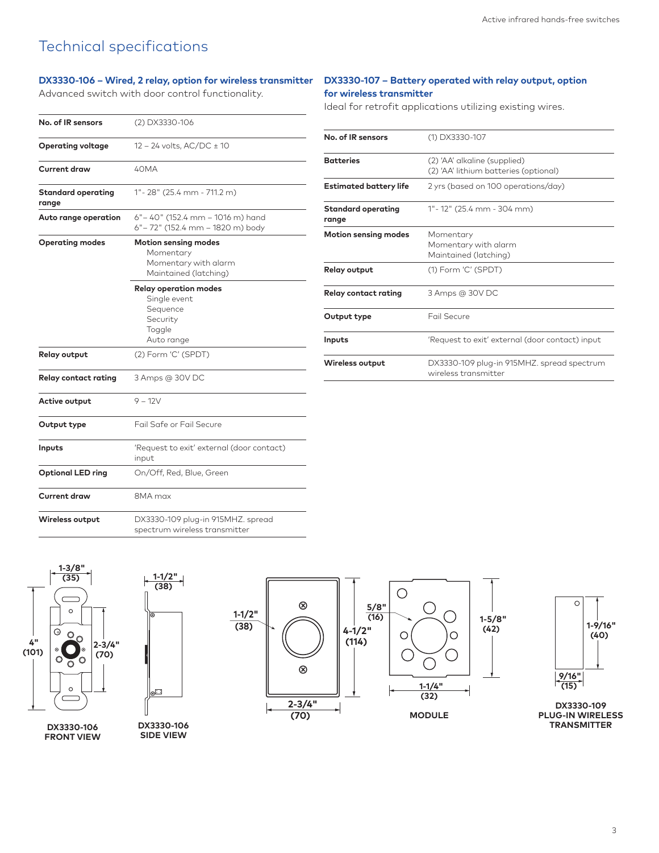### Technical specifications

#### **DX3330-106 – Wired, 2 relay, option for wireless transmitter DX3330-107 – Battery operated with relay output, option**

Advanced switch with door control functionality.

# **for wireless transmitter**

Ideal for retrofit applications utilizing existing wires.

| No. of IR sensors                  | (2) DX3330-106                                                           |                                    |                                                                       |
|------------------------------------|--------------------------------------------------------------------------|------------------------------------|-----------------------------------------------------------------------|
| <b>Operating voltage</b>           | 12 - 24 volts, AC/DC ± 10                                                | No. of IR sensors                  | (1) DX3330-107                                                        |
| <b>Current draw</b>                | 40MA                                                                     | <b>Batteries</b>                   | (2) 'AA' alkaline (supplied)<br>(2) 'AA' lithium batteries (optional) |
| <b>Standard operating</b><br>range | $1" - 28" (25.4 mm - 711.2 m)$                                           | <b>Estimated battery life</b>      | 2 yrs (based on 100 operations/day)                                   |
| Auto range operation               | $6" - 40"$ (152.4 mm - 1016 m) hand<br>6" - 72" (152.4 mm - 1820 m) body | <b>Standard operating</b><br>range | 1"-12" (25.4 mm - 304 mm)                                             |
| <b>Operating modes</b>             | <b>Motion sensing modes</b><br>Momentary                                 | <b>Motion sensing modes</b>        | Momentary<br>Momentary with alarm<br>Maintained (latching)            |
|                                    | Momentary with alarm<br>Maintained (latching)                            | <b>Relay output</b>                | (1) Form 'C' (SPDT)                                                   |
|                                    | <b>Relay operation modes</b><br>Single event                             | <b>Relay contact rating</b>        | 3 Amps @ 30V DC                                                       |
|                                    | Sequence<br>Security<br>Toggle                                           | Output type                        | <b>Fail Secure</b>                                                    |
|                                    | Auto range                                                               | Inputs                             | 'Request to exit' external (door contact) input                       |
| <b>Relay output</b>                | (2) Form 'C' (SPDT)                                                      | Wireless output                    | DX3330-109 plug-in 915MHZ. spread spectrum<br>wireless transmitter    |
| <b>Relay contact rating</b>        | 3 Amps @ 30V DC                                                          |                                    |                                                                       |
| Active output                      | $9 - 12V$                                                                |                                    |                                                                       |
| Output type                        | Fail Safe or Fail Secure                                                 |                                    |                                                                       |
| Inputs                             | 'Request to exit' external (door contact)<br>input                       |                                    |                                                                       |
| <b>Optional LED ring</b>           | On/Off, Red, Blue, Green                                                 |                                    |                                                                       |
| <b>Current draw</b>                | 8MA max                                                                  |                                    |                                                                       |
| <b>Wireless output</b>             | DX3330-109 plug-in 915MHZ. spread                                        |                                    |                                                                       |



**FRONT VIEW**



 **1-1/2"**

**FRONT VIEW**

spectrum wireless transmitter

**DX3330-106 SIDE VIEW**





**DX3330-109 PLUG-IN WIRELESS TRANSMITTER**